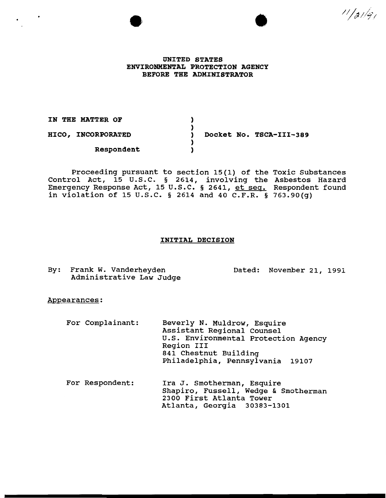UNITED STATES ENVIRONMENTAL PROTECTION AGENCY BEFORE THE ADMINISTRATOR

IN THE MATTER OF HICO, INCORPORATED Respondent  $\lambda$ ) ) Docket No. TSCA-III-389  $\lambda$ )

Proceeding pursuant to section 15(1) of the Toxic Substances Control Act, 15 U.S.C. § 2614, involving the Asbestos Hazard Emergency Response Act, 15 U.S.C. § 2641, et seq. in violation of 15 U.S.C. § 2614 and 40 C.F.R. § Respondent found 763.90(g)

# INITIAL DECISION

By: Frank w. Vanderheyden Administrative Law Judge Dated: November 21, 1991

•

 $11/31/91$ 

## Appearances:

| For Complainant: | Beverly N. Muldrow, Esquire<br>Assistant Regional Counsel<br>U.S. Environmental Protection Agency<br>Region III<br>841 Chestnut Building<br>Philadelphia, Pennsylvania 19107 |
|------------------|------------------------------------------------------------------------------------------------------------------------------------------------------------------------------|
| For Respondent:  | Ira J. Smotherman, Esquire                                                                                                                                                   |

For Respondent: imocherman, Shapiro, Fussell, Wedge & Smotherman 2300 First Atlanta Tower Atlanta, Georgia 30383-1301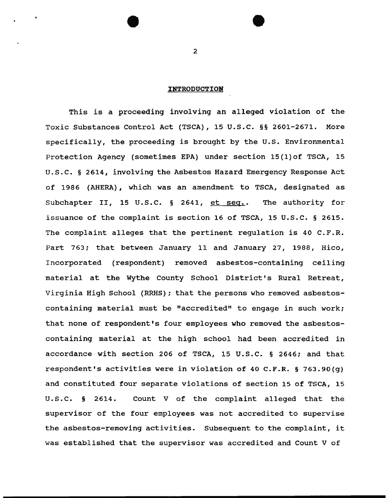## **INTRODUCTION**

This is a proceeding involving an alleged violation of the Toxic Substances Control Act (TSCA), 15 U.S.C. §§ 2601-2671. More specifically, the proceeding *is* brought by the u.s. Environmental Protection Agency (sometimes EPA) under section 15(1)of TSCA, 15 u.s.c. § 2614, involving the Asbestos Hazard Emergency Response Act of 1986 (AHERA), which was an amendment to TSCA, designated as Subchapter II, 15 U.S.C. § 2641, et seq.. The authority for issuance of the complaint *is* section 16 of TSCA, 15 u.s.c. § 2615. The complaint alleges that the pertinent regulation is 40 C.F.R. Part 763; that between January 11 and January 27, 1988, Hico, Incorporated (respondent) removed asbestos-containing ceiling material at the Wythe County School District's Rural Retreat, Virginia High School (RRHS); that the persons who removed asbestoscontaining material must be "accredited" to engage in such work; that none of respondent's four employees who removed the asbestoscontaining material at the high school had been accredited in accordance with section 206 of TSCA, 15 u.s.c. § 2646; and that respondent's activities were *in* violation of 40 C.F.R. § 763.90(g) and constituted four separate violations of section 15 of TSCA, 15 u.s.c. § 2614. Count V of the complaint alleged that the supervisor of the four employees was not accredited to supervise the asbestos-removing activities. Subsequent to the complaint, it was established that the supervisor was accredited and Count V of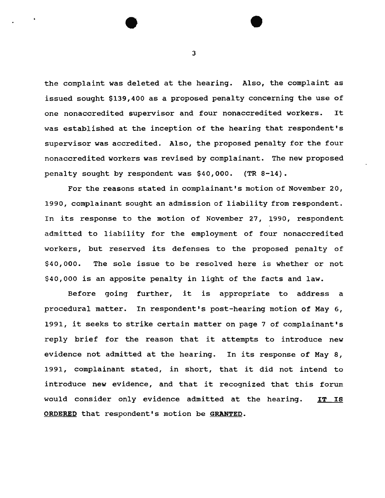the complaint was deleted at the hearing. Also, the complaint as issued sought \$139,400 as a proposed penalty concerning the use of one nonaccredited supervisor and four nonaccredited workers. It was established at the inception of the hearing that respondent's supervisor was accredited. Also, the proposed penalty for the four nonaccredited workers was revised by complainant. The new proposed penalty sought by respondent was \$40,000. (TR 8-14).

For the reasons stated in complainant's motion of November 20, 1990, complainant sought an admission of liability from respondent. In its response to the motion of November 27, 1990, respondent admitted to liability for the employment of four nonaccredited workers, but reserved its defenses to the proposed penalty of \$40,000. The sole issue to be resolved here is whether or not \$40,000 is an apposite penalty in light of the facts and law.

Before going further, it is appropriate to address a procedural matter. In respondent's post-hearing motion of May 6, 1991, it seeks to strike certain matter on page 7 of complainant's reply brief for the reason that it attempts to introduce new evidence not admitted at the hearing. In its response of May 8, 1991, complainant stated, in short, that it did not intend to introduce new evidence, and that it recognized that this forum would consider only evidence admitted at the hearing. ORDERED that respondent's motion be GRANTED. IT IS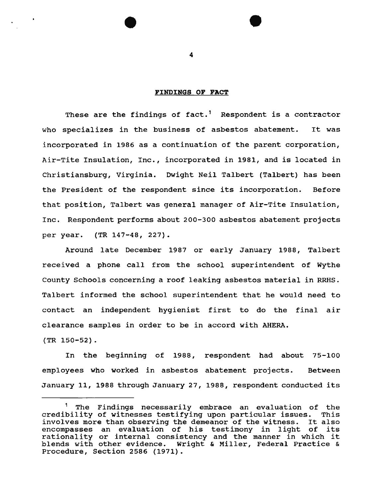## FINDINGS OF **FACT**

These are the findings of fact.<sup>1</sup> Respondent is a contractor who specializes in the business of asbestos abatement. It was incorporated in 1986 as a continuation of the parent corporation, Air-Tite Insulation, Inc., incorporated in 1981, and is located in Christiansburg, Virginia. Dwight Neil Talbert (Talbert) has been the President of the respondent since its incorporation. Before that position, Talbert was general manager of Air-Tite Insulation, Inc. Respondent performs about 200-300 asbestos abatement projects per year. (TR 147-48, 227).

Around late December 1987 or early January 1988, Talbert received a phone call from the school superintendent of Wythe County Schools concerning a roof leaking asbestos material in RRHS. Talbert informed the school superintendent that he would need to contact an independent hygienist first to do the final air clearance samples in order to be in accord with AHERA.

(TR 150-52).

In the beginning of 1988, respondent had about 75-100 employees who worked in asbestos abatement projects. Between January 11, 1988 through January 27, 1988, respondent conducted its

The Findings necessarily embrace an evaluation of the credibility of witnesses testifying upon particular issues. This involves more than observing the demeanor of the witness. It also encompasses an evaluation of his testimony in light of its rationality or internal consistency and the manner in which it blends with other evidence. Wright & Miller, Federal Practice & Procedure, Section 2586 (1971).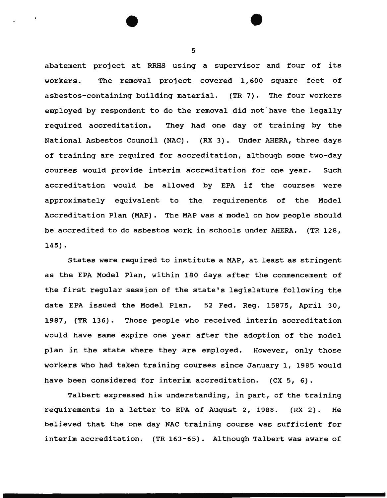abatement project at RRHS using a supervisor and four of its workers. The removal project covered 1, 600 square feet of asbestos-containing building material. (TR 7). The four workers employed by respondent to do the removal did not have the legally required accreditation. They had one day of training by the National Asbestos Council (NAC). (RX 3). Under AHERA, three days of training are required for accreditation, although some two-day courses would provide interim accreditation for one year. such accreditation would be allowed by EPA if the courses were approximately equivalent to the requirements of the Model Accreditation Plan (MAP) . The MAP was a model on how people should be accredited to do asbestos work in schools under AHERA. (TR 128, 145).

States were required to institute a MAP, at least as stringent as the EPA Model Plan, within 180 days after the commencement of the first regular session of the state's legislature following the date EPA issued the Model Plan. 52 Fed. Reg. 15875, April 30, 1987, (TR 136). Those people who received interim accreditation would have same expire one year after the adoption of the model plan in the state where they are employed. However, only those workers who had taken training courses since January 1, 1985 would have been considered for interim accreditation. (CX 5, 6) .

Talbert expressed his understanding, in part, of the training requirements in a letter to EPA of August 2, 1988. (RX 2). He believed that the one day NAC training course was sufficient for interim accreditation. (TR 163-65). Although Talbert was aware of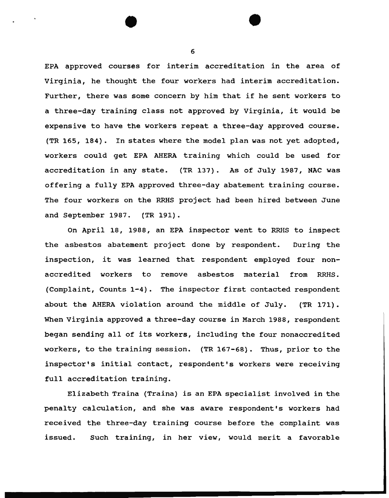EPA approved courses for interim accreditation in the area of Virginia, he thought the four workers had interim accreditation. Further, there was some concern by him that if he sent workers to a three-day training class not approved by Virginia, it would be expensive to have the workers repeat a three-day approved course. (TR 165, 184). In states where the model plan was not yet adopted, workers could get EPA AHERA training which could be used for accreditation in any state. {TR 137). As of July 1987, NAC was offering a fully EPA approved three-day abatement training course. The four workers on the RRHS project had been hired between June and September 1987. (TR 191).

On April 18, 1988, an EPA inspector went to RRHS to inspect the asbestos abatement project done by respondent. During the inspection, it was learned that respondent employed four nonaccredited workers to remove asbestos material from RRHS. (Complaint, Counts 1-4). The inspector first contacted respondent about the AHERA violation around the middle of July. (TR 171). When Virginia approved a three-day course in March 1988, respondent began sending all of its workers, including the four nonaccredited workers, to the training session. (TR 167-68). Thus, prior to the inspector's initial contact, respondent's workers were receiving full accreditation training.

Elizabeth Traina (Traina) *is* an EPA specialist involved in the penalty calculation, and she was aware respondent's workers had received the three-day training course before the complaint was issued. Such training, in her view, would merit a favorable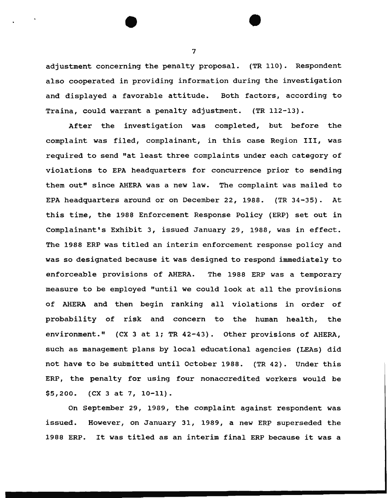adjustment concerning the penalty proposal. (TR 110). Respondent also cooperated in providing information during the investigation and displayed a favorable attitude. Both factors, according to Traina, could warrant a penalty adjustment. (TR 112-13).

After the investigation was completed, but before the complaint was filed, complainant, in this case Region III, was required to send "at least three complaints under each category of violations to EPA headquarters for concurrence prior to sending them out" since AHERA was a new law. The complaint was mailed to EPA headquarters around or on December 22, 1988. (TR 34-35). At this time, the 1988 Enforcement Response Policy (ERP) set out in Complainant's Exhibit 3, issued January 29, 1988, was in effect. The 1988 ERP was titled an interim enforcement response policy and was so designated because it was designed to respond immediately to enforceable provisions of AHERA. The 1988 ERP was a temporary measure to be employed "until we could look at all the provisions of AHERA and then begin ranking all violations in order of probability of risk and concern to the human health, the environment." (CX 3 at 1; TR 42-43). Other provisions of AHERA, such as management plans by local educational agencies (LEAs) did not have to be submitted until October 1988. (TR 42). Under this ERP, the penalty for using four nonaccredited workers would be \$5,200. (CX 3 at 7, 10-11).

On September 29, 1989, the complaint against respondent was issued. However, on January 31, 1989, a new ERP superseded the 1988 ERP. It was titled as an interim final ERP because it was a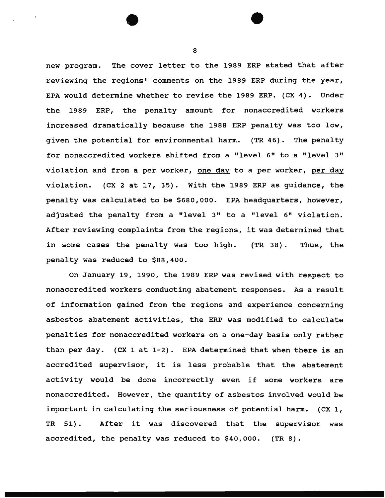new program. The cover letter to the 1989 ERP stated that after reviewing the regions' comments on the 1989 ERP during the year, EPA would determine whether to revise the 1989 ERP. (CX 4). Under the 1989 ERP, the penalty amount for nonaccredited workers increased dramatically because the 1988 ERP penalty was too low, given the potential for environmental harm. (TR 46) . The penalty for nonaccredited workers shifted from a "level 6" to a "level 3" violation and from a per worker, one day to a per worker, per day violation. (CX 2 at 17, 35). With the 1989 ERP as guidance, the penalty was calculated to be \$680,000. EPA headquarters, however, adjusted the penalty from a "level 3" to a "level 6" violation. After reviewing complaints from the regions, it was determined that in some cases the penalty was too high. (TR 38). Thus, the penalty was reduced to \$88,400.

On January 19, 1990, the 1989 ERP was revised with respect to nonaccredited workers conducting abatement responses. As a result of information gained from the regions and experience concerning asbestos abatement activities, the ERP was modified to calculate penalties for nonaccredited workers on a one-day basis only rather than per day. (CX 1 at 1-2). EPA determined that when there is an accredited supervisor, it is less probable that the abatement activity would be done incorrectly even if some workers are nonaccredited. However, the quantity of asbestos involved would be important in calculating the seriousness of potential harm. (CX 1, TR 51) • After it was discovered that the supervisor was accredited, the penalty was reduced to \$40,000. (TR 8).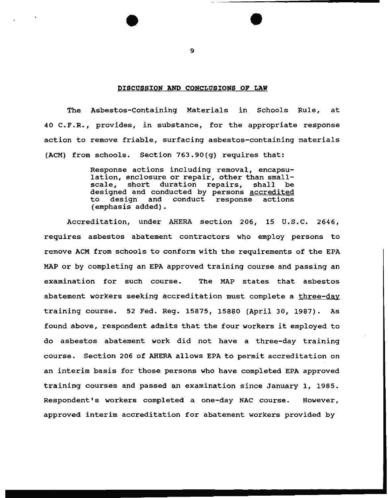#### DISCUSSION AND CONCLUSIONS OF LAW

The Asbestos-containing Materials in Schools Rule, at 40 C.F.R., provides, in substance, for the appropriate response action to remove friable, surfacing asbestos-containing materials (ACM) from schools. Section 763.90(g) requires that:

> Response actions including removal, encapsulation, enclosure or repair, other than small-<br>scale, short duration repairs, shall be scale, short duration repairs, designed and conducted by persons accredited<br>to design and conduct response actions to design and conduct response (emphasis added).

Accreditation, under AHERA section 206, 15 U.S.C. 2646, requires asbestos abatement contractors who employ persons to remove ACM from schools to conform with the requirements of the EPA MAP or by completing an EPA approved training course and passing an examination for such course. The MAP states that asbestos abatement workers seeking accreditation must complete a three-day training course. 52 Fed. Reg. 15875, 15880 (April 30, 1987). As found above, respondent admits that the four workers it employed to do asbestos abatement work did not have a three-day training course. Section 206 of AHERA allows EPA to permit accreditation on an interim basis for those persons who have completed EPA approved training courses and passed an examination since January 1, 1985. Respondent's workers completed a one-day NAC course. However, approved interim accreditation for abatement workers provided by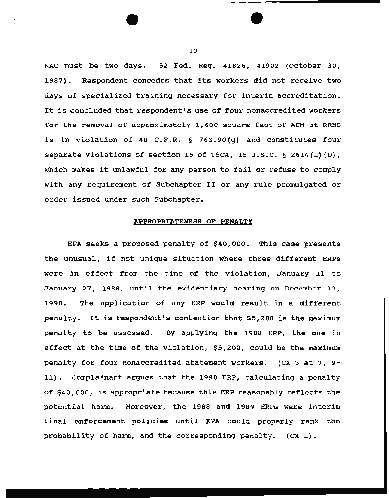NAC must be two days. 52 Fed. Reg. 41826, 41902 (October 30, 1987). Respondent concedes that its workers did not receive two days of specialized training necessary for interim accreditation. It is concluded that respondent's use of four nonaccredited workers for the removal of approximately 1,600 square feet of ACM at RRHS is in violation of 40 C.F.R. § 763.90(g) and constitutes four separate violations of section 15 of TSCA, 15 U.S.C.  $\S$  2614(1)(D), which makes it unlawful for any person to fail or refuse to comply with any requirement of Subchapter II or any rule promulgated or order issued under such Subchapter.

# **APPROPRIATENESS OF PENALTY**

EPA seeks a proposed penalty of \$40,000. This case presents the unusual, if not unique situation where three different ERPs were in effect from the time of the violation, January 11 to January 27, 1988, until the evidentiary hearing on December 13, 1990. The application of any ERP would result in a different penalty. It is respondent's contention that \$5,200 is the maximum penalty to be assessed. By applying the 1988 ERP, the one in effect at the time of the violation, \$5,200, could be the maximum penalty for four nonaccredited abatement workers. (CX 3 at 7, 9- 11). Complainant argues that the 1990 ERP, calculating a penalty of \$40,000, is appropriate because this ERP reasonably reflects the potential harm. Moreover, the 1988 and 1989 ERPs were interim final enforcement policies until EPA could properly rank the probability of harm, and the corresponding penalty. (CX 1).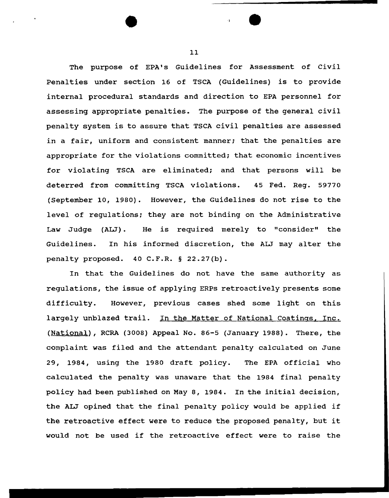The purpose of EPA's Guidelines for Assessment of Civil Penalties under section 16 of TSCA (Guidelines) is to provide internal procedural standards and direction to EPA personnel for assessing appropriate penalties. The purpose of the general civil penalty system is to assure that TSCA civil penalties are assessed in a fair, uniform and consistent manner; that the penalties are appropriate for the violations committed; that economic incentives for violating TSCA are eliminated; and that persons will be deterred from committing TSCA violations. 45 Fed. Reg. 59770 (September 10, 1980). However, the Guidelines do not rise to the level of regulations; they are not binding on the Administrative Law Judge (ALJ). He is required merely to "consider" the Guidelines. In his informed discretion, the AIJ may alter the penalty proposed. 40 C.F.R. § 22.27(b).

In that the Guidelines do not have the same authority as regulations, the issue of applying ERPs retroactively presents some difficulty. However, previous cases shed some light on this largely unblazed trail. In the Matter of National Coatings, Inc. (National), RCRA (3008) Appeal No. 86-5 (January 1988). There, the complaint was filed and the attendant penalty calculated on June 29, 1984, using the 1980 draft policy. The EPA official who calculated the penalty was unaware that the 1984 final penalty policy had been published on May 8, 1984. In the initial decision, the ALJ opined that the final penalty policy would be applied if the retroactive effect were to reduce the proposed penalty, but it would not be used if the retroactive effect were to raise the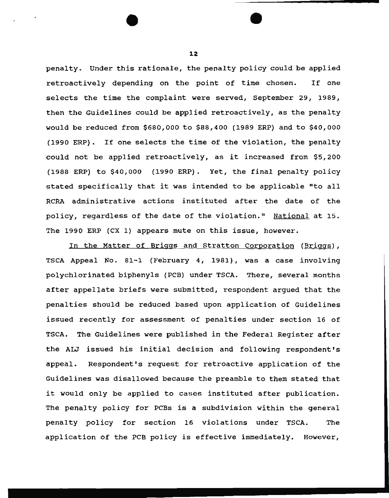penalty. Under this rationale, the penalty policy could be applied retroactively depending on the point of time chosen. If one selects the time the complaint were served, September 29, 1989, then the Guidelines could be applied retroactively, as the penalty would be reduced from \$680,000 to \$88,400 (1989 ERP) and to \$40,000 (1990 ERP) . If one selects the time of the violation, the penalty could not be applied retroactively, as it increased from \$5,200 (1988 ERP) to \$40,000 (1990 ERP). Yet, the final penalty policy stated specifically that it was intended to be applicable "to all RCRA administrative actions instituted after the date of the policy, regardless of the date of the violation." National at 15. The 1990 ERP (CX 1) appears mute on this issue, however.

In the Matter of Briggs and Stratton Corporation (Briggs), TSCA Appeal No. 81-1 (February 4, 1981), was a case involving polychlorinated biphenyls (PCB) under TSCA. There, several months after appellate briefs were submitted, respondent argued that the penalties should be reduced based upon application of Guidelines issued recently for assessment of penalties under section 16 of TSCA. The Guidelines were published in the Federal Register after the ALJ issued his initial decision and following respondent's appeal. Respondent's request for retroactive application of the Guidelines was disallowed because the preamble to them stated that it would only be applied to cases instituted after publication. The penalty policy for PCBs is a subdivision within the general penalty policy for section 16 violations under TSCA. The application of the PCB policy is effective immediately. However,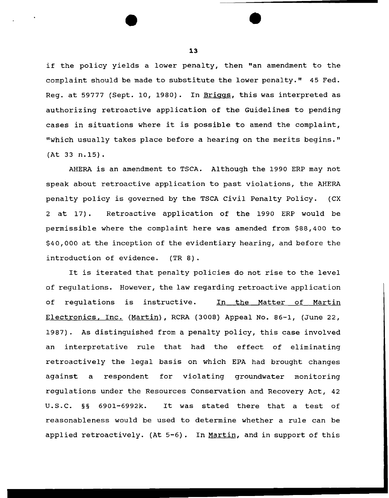if the policy yields a lower penalty, then "an amendment to the complaint should be made to substitute the lower penalty." 45 Fed. Reg. at 59777 (Sept. 10, 1980). In Briggs, this was interpreted as authorizing retroactive application of the Guidelines to pending cases in situations where it is possible to amend the complaint, "which usually takes place before a hearing on the merits begins." (At 33 n.15).

AHERA is an amendment to TSCA. Although the 1990 ERP may not speak about retroactive application to past violations, the AHERA penalty policy is governed by the TSCA Civil Penalty Policy. (CX 2 at 17). Retroactive application of the 1990 ERP would be permissible where the complaint here was amended from \$88,400 to \$40,000 at the inception of the evidentiary hearing, and before the introduction of evidence. (TR 8) .

It is iterated that penalty policies do not rise to the level of regulations. However, the law regarding retroactive application of regulations is instructive. In the Matter of Martin Electronics, Inc. (Martin), RCRA (3008) Appeal No. 86-1, (June 22, 1987). As distinguished from a penalty policy, this case involved an interpretative rule that had the effect of eliminating retroactively the legal basis on which EPA had brought changes against a respondent for violating groundwater monitoring regulations under the Resources Conservation and Recovery Act, 42 U.S.C. §§ 6901-6992k. It was stated there that a test of reasonableness would be used to determine whether a rule can be applied retroactively. (At 5-6). In Martin, and in support of this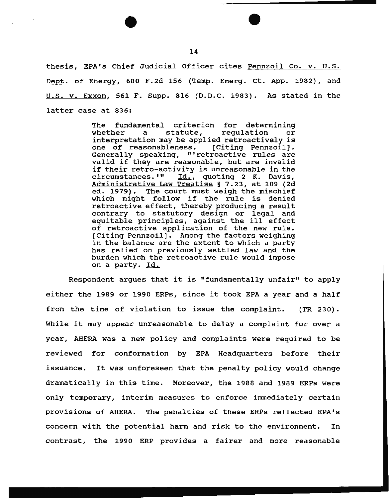thesis, EPA's Chief Judicial Officer cites Pennzoil Co. v. U.S. Dept. of Energy, 680 F.2d 156 (Temp. Emerg. Ct. App. 1982), and u.s. v. Exxon, 561 F. Supp. 816 (D.D.C. 1983). As stated in the latter case at 836:

> The fundamental criterion for determining whether a statute, regulation or whether a statute, regulation or<br>interpretation may be applied retroactively is one of reasonableness. (Citing Pennzoil] • Generally speaking, "'retroactive rules are valid if they are reasonable, but are invalid if their retro-activity is unreasonable in the<br>circumstances.'" Id., quoting 2 K. Davis, Id., quoting 2 K. Davis, Administrative Law Treatise§ 7.23, at 109 (2d ed. 1979). The court must weigh the mischief which might follow if the rule is denied retroactive effect, thereby producing a result contrary to statutory design or legal and equitable principles, against the ill effect of retroactive application of the new rule. (Citing Pennzoil). Among the factors weighing in the balance are the extent to which a party has relied on previously settled law and the burden which the retroactive rule would impose on a party. Id.

Respondent argues that it is "fundamentally unfair" to apply either the 1989 or 1990 ERPs, since it took EPA a year and a half from the time of violation to issue the complaint. {TR 230) . While it may appear unreasonable to delay a complaint for over a year, AHERA was a new policy and complaints were required to be reviewed for conformation by EPA Headquarters before their issuance. It was unforeseen that the penalty policy would change dramatically in this time. Moreover, the 1988 and 1989 ERPs were only temporary, interim measures to enforce immediately certain provisions of AHERA. The penalties of these ERPs reflected EPA's concern with the potential harm and risk to the environment. In contrast, the 1990 ERP provides a fairer and more reasonable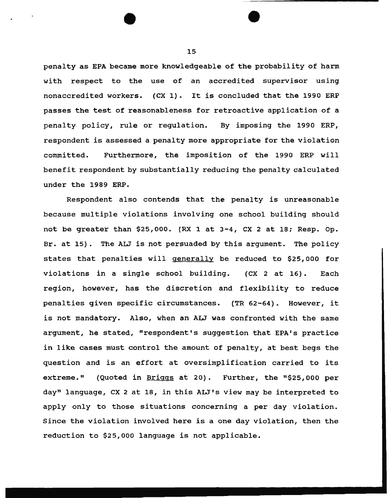penalty as EPA became more knowledgeable of the probability of harm with respect to the use of an accredited supervisor using nonaccredited workers. (CX 1). It is concluded that the 1990 ERP passes the test of reasonableness for retroactive application of a penalty policy, rule or regulation. By imposing the 1990 ERP, respondent is assessed a penalty more appropriate for the violation committed. Furthermore, the imposition of the 1990 ERP will benefit respondent by substantially reducing the penalty calculated under the 1989 ERP.

Respondent also contends that the penalty is unreasonable because multiple violations involving one school building should not be greater than \$25,000. (RX 1 at 3-4, ex 2 at 18; Resp. Op. Br. at 15). The ALJ is not persuaded by this argument. The policy states that penalties will generally be reduced to \$25,000 for violations in a single school building. (CX 2 at 16). Each region, however, has the discretion and flexibility to reduce penalties given specific circumstances. (TR 62-64). However, it is not mandatory. Also, when an ALJ was confronted with the same argument, he stated, "respondent's suggestion that EPA's practice in like cases must control the amount of penalty, at best begs the question and is an effort at oversimplification carried to its extreme." (Quoted in Briggs at 20). Further, the "\$25,000 per day" language, ex 2 at 18, in this ALJ 's view may be interpreted to apply only to those situations concerning a per day violation. Since the violation involved here is a one day violation, then the reduction to \$25,000 language is not applicable.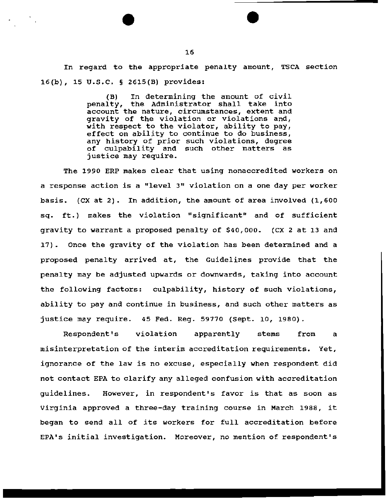In regard to the appropriate penalty amount, TSCA section 16(b), 15 u.s.c. § 2615(B) provides:

> {B) In determining the amount of civil penalty, the Administrator shall take into account the nature, circumstances, extent and gravity of the violation or violations and, with respect to the violator, ability to pay, effect on ability to continue to do business, any history of prior such violations, degree of culpability and such other matters as justice may require.

The 1990 ERP makes clear that using nonaccredited workers on a response action is a "level 3" violation on a one day per worker basis. (CX at 2). In addition, the amount of area involved (1,600 sq. ft.} makes the violation "significant" and of sufficient gravity to warrant a proposed penalty of \$40,000. (CX 2 at 13 and 17). Once the gravity of the violation has been determined and a proposed penalty arrived at, the Guidelines provide that the penalty may be adjusted upwards or downwards, taking into account the following factors: culpability, history of such violations, ability to pay and continue in business, and such other matters as justice may require. 45 Fed. Reg. 59770 {Sept. 10, 1980).

Respondent's violation apparently stems from a misinterpretation of the interim accreditation requirements. Yet, ignorance of the law is no excuse, especially when respondent did not contact EPA to clarify any alleged confusion with accreditation guidelines. However, in respondent's favor is that as soon as Virginia approved a three-day training course in March 1988, it began to send all of its workers for full accreditation before EPA's initial investigation. Moreover, no mention of respondent's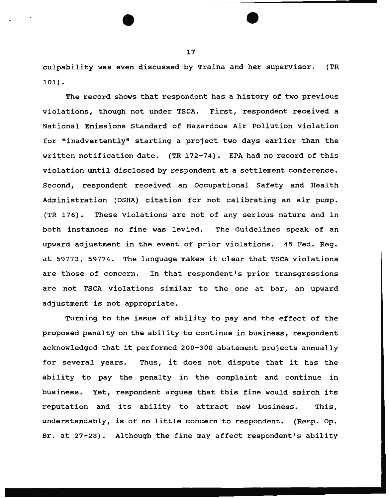culpability was even discussed by Traina and her supervisor. {TR 101).

The record shows that respondent has a history of two previous violations, though not under TSCA. First, respondent received a National Emissions Standard of Hazardous Air Pollution violation for "inadvertently" starting a project two days earlier than the written notification date. {TR 172-74). EPA had no record of this violation until disclosed by respondent at a settlement conference. Second, respondent received an Occupational Safety and Health Administration (OSHA) citation for not calibrating an air pump. {TR 176). These violations are not of any serious nature and in both instances no fine was levied. The Guidelines speak of an upward adjustment in the event of prior violations. 45 Fed. Reg. at 59773, 59774. The language makes it clear that TSCA violations are those of concern. In that respondent's prior transgressions are not TSCA violations similar to the one at bar, an upward adjustment is not appropriate.

Turning to the issue of ability to pay and the effect of the proposed penalty on the ability to continue in business, respondent acknowledged that it performed 200-300 abatement projects annually for several years. Thus, it does not dispute that it has the ability to pay the penalty in the complaint and continue in business. Yet, respondent argues that this fine would smirch its reputation and its ability to attract new business. This, understandably, is of no little concern to respondent. {Resp. op. Br. at 27-28). Although the fine may affect respondent's ability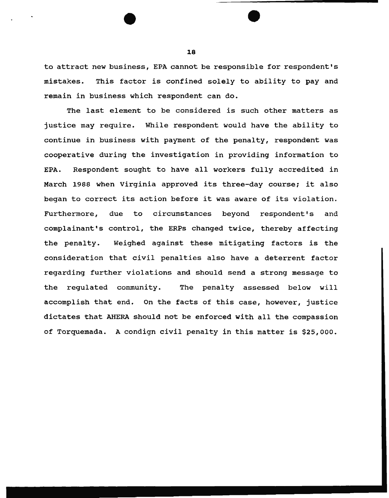to attract new business, EPA cannot be responsible for respondent's mistakes. This factor is confined solely to ability to pay and remain in business which respondent can do.

The last element to be considered is such other matters as justice may require. While respondent would have the ability to continue in business with payment of the penalty, respondent was cooperative during the investigation in providing information to EPA. Respondent sought to have all workers fully accredited in March 1988 when Virginia approved its three-day course; it also began to correct its action before it was aware of its violation. Furthermore, due to circumstances beyond respondent's and complainant's control, the ERPs changed twice, thereby affecting the penalty. Weighed against these mitigating factors is the consideration that civil penalties also have a deterrent factor regarding further violations and should send a strong message to the regulated community. The penalty assessed below will accomplish that end. On the facts of this case, however, justice dictates that AHERA should not be enforced with all the compassion of Torquemada. A condign civil penalty in this matter is \$25,000.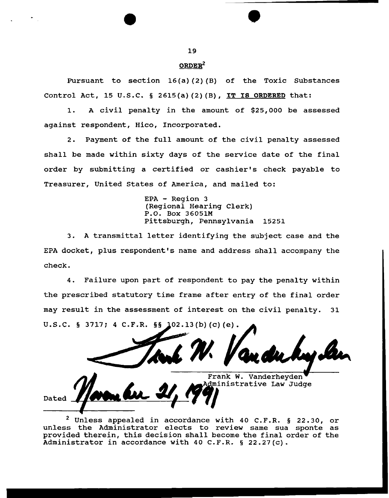# $ORDER<sup>2</sup>$

Pursuant to section 16(a) (2) (B) of the Toxic Substances Control Act, 15 U.S.C. § 2615(a)(2)(B), IT IS ORDERED that:

1. A civil penalty in the amount of \$25,000 be assessed against respondent, Hico, Incorporated.

2. Payment of the full amount of the civil penalty assessed shall be made within sixty days of the service date of the final order by submitting a certified or cashier's check payable to Treasurer, United States of America, and mailed to:

> EPA - Region 3 (Regional Hearing Clerk) P.O. Box 36051M Pittsburgh, Pennsylvania 15251

3. A transmittal letter identifying the subject case and the EPA docket, plus respondent's name and address shall accompany the check.

4. Failure upon part of respondent to pay the penalty within the prescribed statutory time frame after entry of the final order may result in the assessment of interest on the civil penalty. 31 U.S.C. § 3717; 4 C.F.R. §§ 102.13(b)(c)(e).

Frank w. Vanderheyden dministrative Law Judge

2 Unless appealed in accordance with 40 C.F.R. § 22.30, or unless the Administrator elects to review same sua sponte as provided therein, this decision shall become the final order of the Administrator in accordance with 40 C.F.R. § 22.27(c).

Dated

--------~------------

19

**।**<br>●